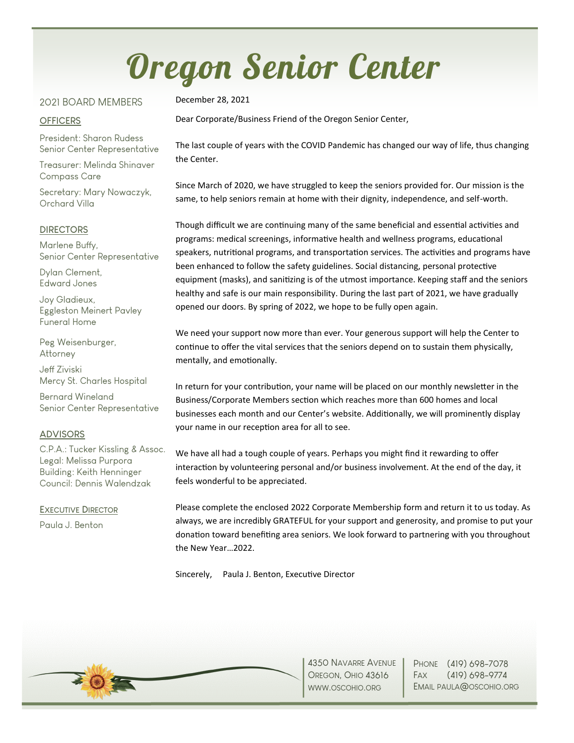# Oregon Senior Center

#### 2021 BOARD MEMBERS

#### **OFFICERS**

President: Sharon Rudess Senior Center Representative

Treasurer: Melinda Shinaver Compass Care

Secretary: Mary Nowaczyk, Orchard Villa

#### **DIRECTORS**

Marlene Buffy, Senior Center Representative

Dylan Clement, Edward Jones

Joy Gladieux, Eggleston Meinert Pavley Funeral Home

Peg Weisenburger, Attorney

Jeff Ziviski Mercy St. Charles Hospital

Bernard Wineland Senior Center Representative

#### **ADVISORS**

C.P.A.: Tucker Kissling & Assoc. Legal: Melissa Purpora Building: Keith Henninger Council: Dennis Walendzak

**EXECUTIVE DIRECTOR** Paula J. Benton

December 28, 2021

Dear Corporate/Business Friend of the Oregon Senior Center,

The last couple of years with the COVID Pandemic has changed our way of life, thus changing the Center.

Since March of 2020, we have struggled to keep the seniors provided for. Our mission is the same, to help seniors remain at home with their dignity, independence, and self-worth.

Though difficult we are continuing many of the same beneficial and essential activities and programs: medical screenings, informative health and wellness programs, educational speakers, nutritional programs, and transportation services. The activities and programs have been enhanced to follow the safety guidelines. Social distancing, personal protective equipment (masks), and sanitizing is of the utmost importance. Keeping staff and the seniors healthy and safe is our main responsibility. During the last part of 2021, we have gradually opened our doors. By spring of 2022, we hope to be fully open again.

We need your support now more than ever. Your generous support will help the Center to continue to offer the vital services that the seniors depend on to sustain them physically, mentally, and emotionally.

In return for your contribution, your name will be placed on our monthly newsletter in the Business/Corporate Members section which reaches more than 600 homes and local businesses each month and our Center's website. Additionally, we will prominently display your name in our reception area for all to see.

We have all had a tough couple of years. Perhaps you might find it rewarding to offer interaction by volunteering personal and/or business involvement. At the end of the day, it feels wonderful to be appreciated.

Please complete the enclosed 2022 Corporate Membership form and return it to us today. As always, we are incredibly GRATEFUL for your support and generosity, and promise to put your donation toward benefiting area seniors. We look forward to partnering with you throughout the New Year…2022.

Sincerely, Paula J. Benton, Executive Director



4350 NAVARRE AVENUE OREGON, OHIO 43616 WWW.OSCOHIO.ORG

PHONE (419) 698-7078 FAX (419) 698-9774 EMAIL PAULA@OSCOHIO.ORG